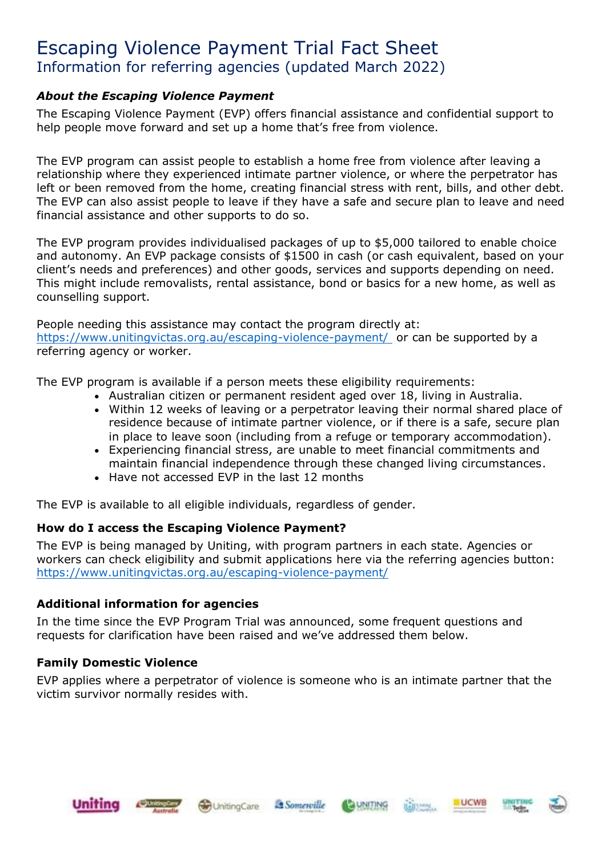# Escaping Violence Payment Trial Fact Sheet Information for referring agencies (updated March 2022)

## *About the Escaping Violence Payment*

The Escaping Violence Payment (EVP) offers financial assistance and confidential support to help people move forward and set up a home that's free from violence.

The EVP program can assist people to establish a home free from violence after leaving a relationship where they experienced intimate partner violence, or where the perpetrator has left or been removed from the home, creating financial stress with rent, bills, and other debt. The EVP can also assist people to leave if they have a safe and secure plan to leave and need financial assistance and other supports to do so.

The EVP program provides individualised packages of up to \$5,000 tailored to enable choice and autonomy. An EVP package consists of \$1500 in cash (or cash equivalent, based on your client's needs and preferences) and other goods, services and supports depending on need. This might include removalists, rental assistance, bond or basics for a new home, as well as counselling support.

People needing this assistance may contact the program directly at: [https://www.unitingvictas.org.au/escaping-violence-payment/](https://www.unitingvictas.org.au/escaping-violence-payment/ ) or can be supported by a referring agency or worker.

The EVP program is available if a person meets these eligibility requirements:

- Australian citizen or permanent resident aged over 18, living in Australia.
- Within 12 weeks of leaving or a perpetrator leaving their normal shared place of residence because of intimate partner violence, or if there is a safe, secure plan in place to leave soon (including from a refuge or temporary accommodation).
- Experiencing financial stress, are unable to meet financial commitments and maintain financial independence through these changed living circumstances.
- Have not accessed EVP in the last 12 months

The EVP is available to all eligible individuals, regardless of gender.

## **How do I access the Escaping Violence Payment?**

The EVP is being managed by Uniting, with program partners in each state. Agencies or workers can check eligibility and submit applications here via the referring agencies button: <https://www.unitingvictas.org.au/escaping-violence-payment/>

## **Additional information for agencies**

In the time since the EVP Program Trial was announced, some frequent questions and requests for clarification have been raised and we've addressed them below.

## **Family Domestic Violence**

EVP applies where a perpetrator of violence is someone who is an intimate partner that the victim survivor normally resides with.